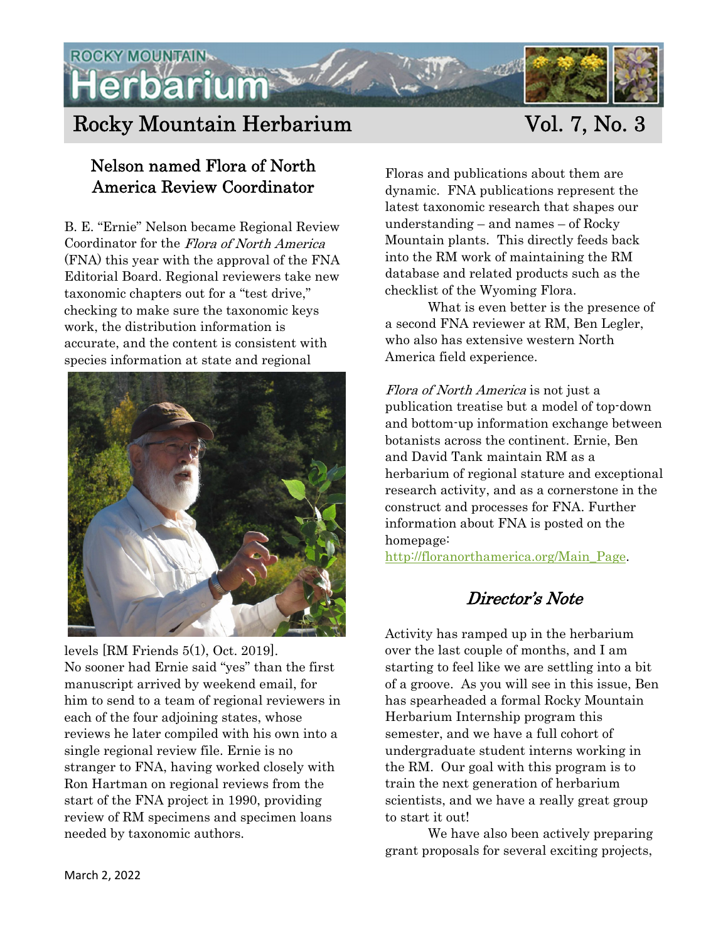**ROCKY MOUNTAIN**érbarium

# Rocky Mountain Herbarium Vol. 7, No. 3

### Nelson named Flora of North America Review Coordinator

B. E. "Ernie" Nelson became Regional Review Coordinator for the Flora of North America (FNA) this year with the approval of the FNA Editorial Board. Regional reviewers take new taxonomic chapters out for a "test drive," checking to make sure the taxonomic keys work, the distribution information is accurate, and the content is consistent with species information at state and regional



levels [RM Friends 5(1), Oct. 2019]. No sooner had Ernie said "yes" than the first manuscript arrived by weekend email, for him to send to a team of regional reviewers in each of the four adjoining states, whose reviews he later compiled with his own into a single regional review file. Ernie is no stranger to FNA, having worked closely with Ron Hartman on regional reviews from the start of the FNA project in 1990, providing review of RM specimens and specimen loans needed by taxonomic authors.

Floras and publications about them are dynamic. FNA publications represent the latest taxonomic research that shapes our understanding – and names – of Rocky Mountain plants. This directly feeds back into the RM work of maintaining the RM database and related products such as the checklist of the Wyoming Flora.

What is even better is the presence of a second FNA reviewer at RM, Ben Legler, who also has extensive western North America field experience.

Flora of North America is not just a publication treatise but a model of top-down and bottom-up information exchange between botanists across the continent. Ernie, Ben and David Tank maintain RM as a herbarium of regional stature and exceptional research activity, and as a cornerstone in the construct and processes for FNA. Further information about FNA is posted on the homepage:

http://floranorthamerica.org/Main Page.

## Director's Note

Activity has ramped up in the herbarium over the last couple of months, and I am starting to feel like we are settling into a bit of a groove. As you will see in this issue, Ben has spearheaded a formal Rocky Mountain Herbarium Internship program this semester, and we have a full cohort of undergraduate student interns working in the RM. Our goal with this program is to train the next generation of herbarium scientists, and we have a really great group to start it out!

We have also been actively preparing grant proposals for several exciting projects,